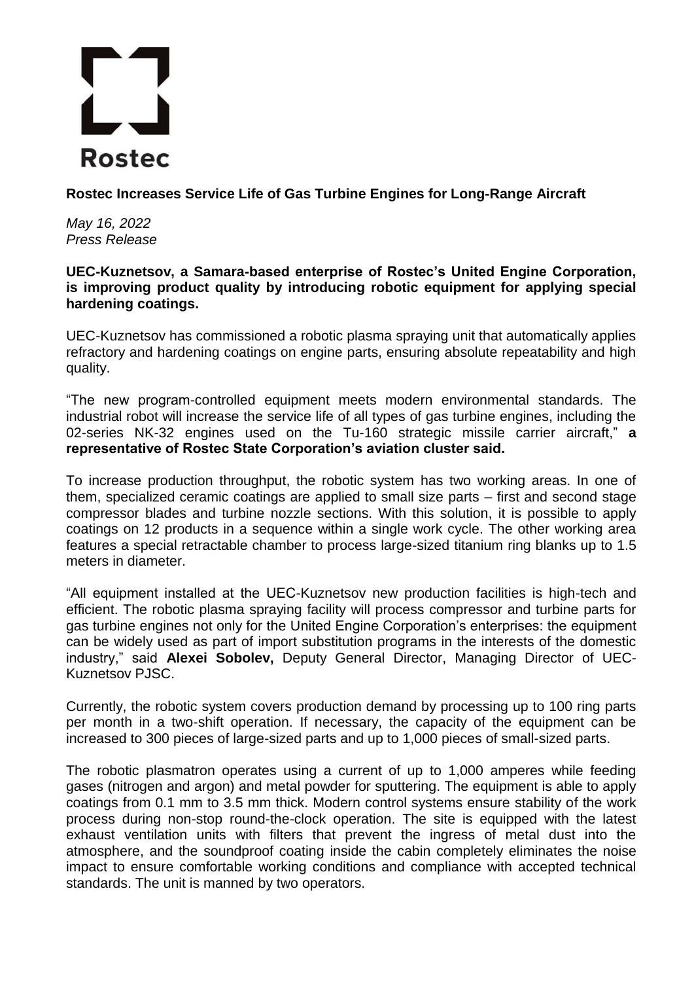## **Rostec**

**Rostec Increases Service Life of Gas Turbine Engines for Long-Range Aircraft**

*May 16, 2022 Press Release*

## **UEC-Kuznetsov, a Samara-based enterprise of Rostec's United Engine Corporation, is improving product quality by introducing robotic equipment for applying special hardening coatings.**

UEC-Kuznetsov has commissioned a robotic plasma spraying unit that automatically applies refractory and hardening coatings on engine parts, ensuring absolute repeatability and high quality.

"The new program-controlled equipment meets modern environmental standards. The industrial robot will increase the service life of all types of gas turbine engines, including the 02-series NK-32 engines used on the Tu-160 strategic missile carrier aircraft," **a representative of Rostec State Corporation's aviation cluster said.**

To increase production throughput, the robotic system has two working areas. In one of them, specialized ceramic coatings are applied to small size parts – first and second stage compressor blades and turbine nozzle sections. With this solution, it is possible to apply coatings on 12 products in a sequence within a single work cycle. The other working area features a special retractable chamber to process large-sized titanium ring blanks up to 1.5 meters in diameter.

"All equipment installed at the UEC-Kuznetsov new production facilities is high-tech and efficient. The robotic plasma spraying facility will process compressor and turbine parts for gas turbine engines not only for the United Engine Corporation's enterprises: the equipment can be widely used as part of import substitution programs in the interests of the domestic industry," said **Alexei Sobolev,** Deputy General Director, Managing Director of UEC-Kuznetsov PJSC.

Currently, the robotic system covers production demand by processing up to 100 ring parts per month in a two-shift operation. If necessary, the capacity of the equipment can be increased to 300 pieces of large-sized parts and up to 1,000 pieces of small-sized parts.

The robotic plasmatron operates using a current of up to 1,000 amperes while feeding gases (nitrogen and argon) and metal powder for sputtering. The equipment is able to apply coatings from 0.1 mm to 3.5 mm thick. Modern control systems ensure stability of the work process during non-stop round-the-clock operation. The site is equipped with the latest exhaust ventilation units with filters that prevent the ingress of metal dust into the atmosphere, and the soundproof coating inside the cabin completely eliminates the noise impact to ensure comfortable working conditions and compliance with accepted technical standards. The unit is manned by two operators.